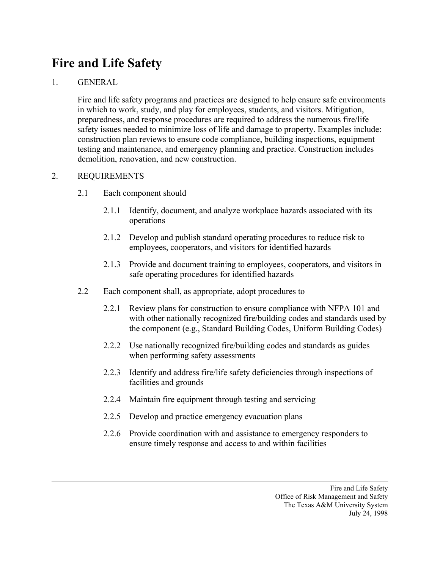## **Fire and Life Safety**

## 1. GENERAL

Fire and life safety programs and practices are designed to help ensure safe environments in which to work, study, and play for employees, students, and visitors. Mitigation, preparedness, and response procedures are required to address the numerous fire/life safety issues needed to minimize loss of life and damage to property. Examples include: construction plan reviews to ensure code compliance, building inspections, equipment testing and maintenance, and emergency planning and practice. Construction includes demolition, renovation, and new construction.

## 2. REQUIREMENTS

- 2.1 Each component should
	- 2.1.1 Identify, document, and analyze workplace hazards associated with its operations
	- 2.1.2 Develop and publish standard operating procedures to reduce risk to employees, cooperators, and visitors for identified hazards
	- 2.1.3 Provide and document training to employees, cooperators, and visitors in safe operating procedures for identified hazards
- 2.2 Each component shall, as appropriate, adopt procedures to
	- 2.2.1 Review plans for construction to ensure compliance with NFPA 101 and with other nationally recognized fire/building codes and standards used by the component (e.g., Standard Building Codes, Uniform Building Codes)
	- 2.2.2 Use nationally recognized fire/building codes and standards as guides when performing safety assessments
	- 2.2.3 Identify and address fire/life safety deficiencies through inspections of facilities and grounds
	- 2.2.4 Maintain fire equipment through testing and servicing
	- 2.2.5 Develop and practice emergency evacuation plans
	- 2.2.6 Provide coordination with and assistance to emergency responders to ensure timely response and access to and within facilities